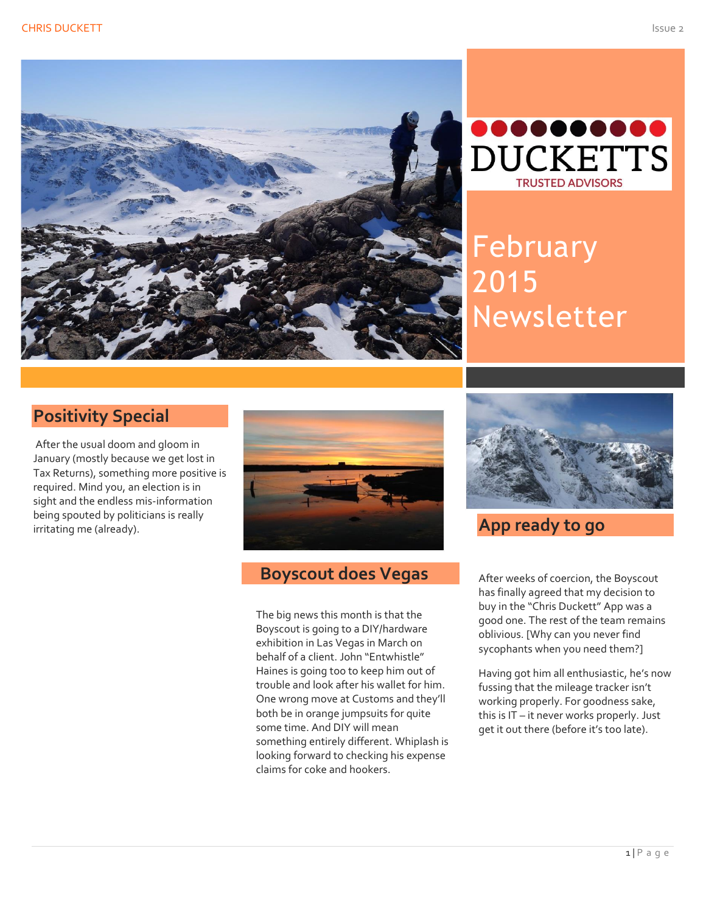



February 2015 Newsletter

## **Positivity Special**

After the usual doom and gloom in January (mostly because we get lost in<br>— Tax Returns), something more positive is required. Mind you, an election is in sight and the endless mis-information being spouted by politicians is really irritating me (already).



# **Boyscout does Vegas**

The big news this month is that the Boyscout is going to a DIY/hardware exhibition in Las Vegas in March on behalf of a client. John "Entwhistle" Haines is going too to keep him out of trouble and look after his wallet for him. One wrong move at Customs and they'll both be in orange jumpsuits for quite some time. And DIY will mean something entirely different. Whiplash is looking forward to checking his expense claims for coke and hookers.



**App ready to go**

After weeks of coercion, the Boyscout has finally agreed that my decision to buy in the "Chris Duckett" App was a good one. The rest of the team remains oblivious. [Why can you never find sycophants when you need them?]

Having got him all enthusiastic, he's now fussing that the mileage tracker isn't working properly. For goodness sake, this is IT – it never works properly. Just get it out there (before it's too late).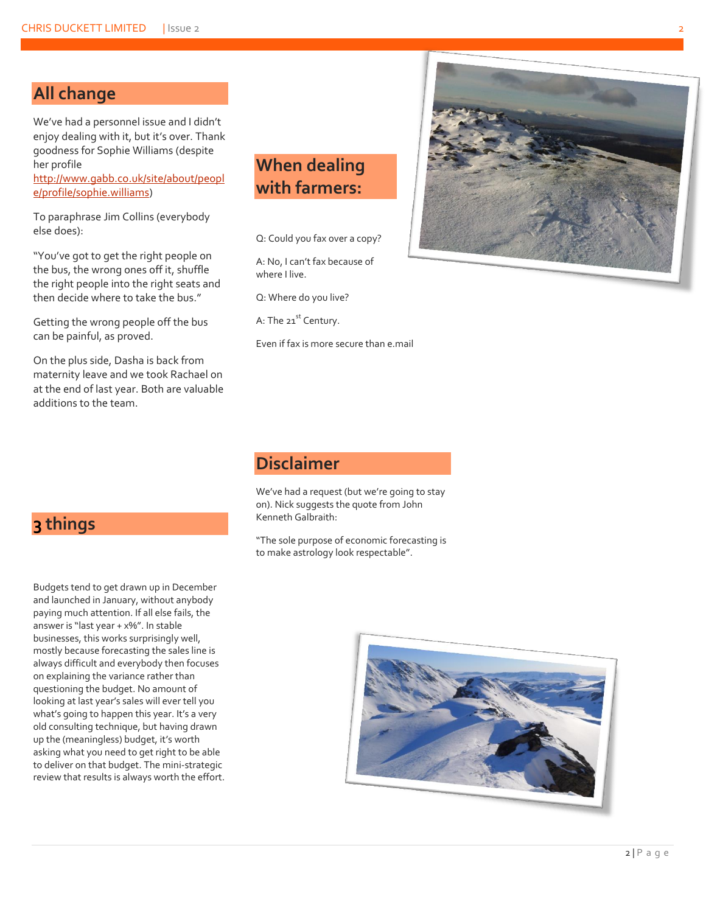#### **All change**

We've had a personnel issue and I didn't enjoy dealing with it, but it's over. Thank goodness for Sophie Williams (despite her profile

[http://www.gabb.co.uk/site/about/peopl](http://www.gabb.co.uk/site/about/people/profile/sophie.williams) [e/profile/sophie.williams\)](http://www.gabb.co.uk/site/about/people/profile/sophie.williams)

To paraphrase Jim Collins (everybody else does):

"You've got to get the right people on the bus, the wrong ones off it, shuffle the right people into the right seats and then decide where to take the bus."

Getting the wrong people off the bus can be painful, as proved.

On the plus side, Dasha is back from maternity leave and we took Rachael on at the end of last year. Both are valuable additions to the team.

**3 things**

## **When dealing with farmers:**

Q: Could you fax over a copy?

A: No, I can't fax because of where I live.

Q: Where do you live?

A: The 21<sup>st</sup> Century.

Even if fax is more secure than e.mail



#### **Disclaimer**

We've had a request (but we're going to stay on). Nick suggests the quote from John Kenneth Galbraith:

"The sole purpose of economic forecasting is to make astrology look respectable".

Budgets tend to get drawn up in December and launched in January, without anybody paying much attention. If all else fails, the answer is "last year + x%". In stable businesses, this works surprisingly well, mostly because forecasting the sales line is always difficult and everybody then focuses on explaining the variance rather than questioning the budget. No amount of looking at last year's sales will ever tell you what's going to happen this year. It's a very old consulting technique, but having drawn up the (meaningless) budget, it's worth asking what you need to get right to be able to deliver on that budget. The mini-strategic review that results is always worth the effort.